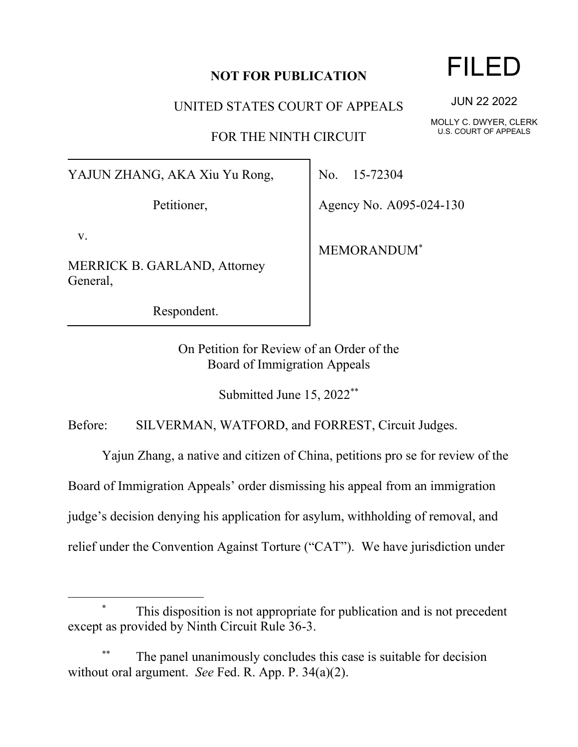## **NOT FOR PUBLICATION**

UNITED STATES COURT OF APPEALS

FOR THE NINTH CIRCUIT

YAJUN ZHANG, AKA Xiu Yu Rong,

Petitioner,

v.

MERRICK B. GARLAND, Attorney General,

Respondent.

No. 15-72304

Agency No. A095-024-130

MEMORANDUM\*

On Petition for Review of an Order of the Board of Immigration Appeals

Submitted June 15, 2022\*\*

Before: SILVERMAN, WATFORD, and FORREST, Circuit Judges.

Yajun Zhang, a native and citizen of China, petitions pro se for review of the

Board of Immigration Appeals' order dismissing his appeal from an immigration

judge's decision denying his application for asylum, withholding of removal, and

relief under the Convention Against Torture ("CAT"). We have jurisdiction under

This disposition is not appropriate for publication and is not precedent except as provided by Ninth Circuit Rule 36-3.

The panel unanimously concludes this case is suitable for decision without oral argument. *See* Fed. R. App. P. 34(a)(2).

FILED

JUN 22 2022

MOLLY C. DWYER, CLERK U.S. COURT OF APPEALS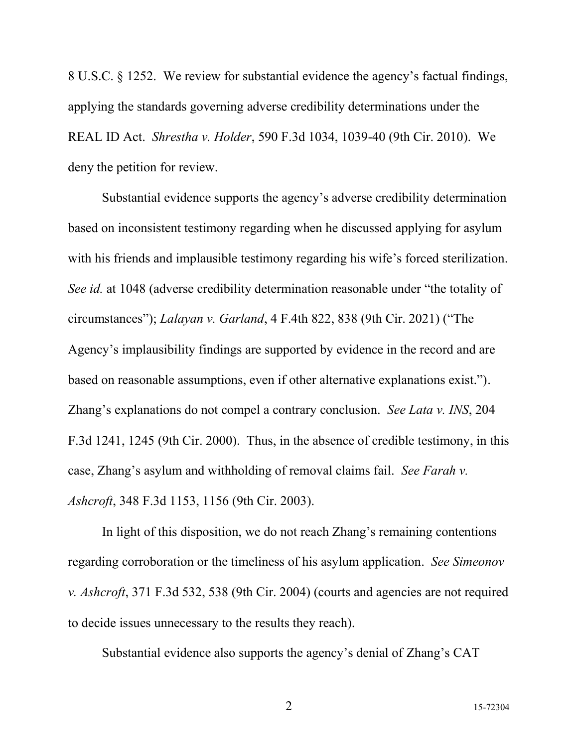8 U.S.C. § 1252. We review for substantial evidence the agency's factual findings, applying the standards governing adverse credibility determinations under the REAL ID Act. *Shrestha v. Holder*, 590 F.3d 1034, 1039-40 (9th Cir. 2010). We deny the petition for review.

Substantial evidence supports the agency's adverse credibility determination based on inconsistent testimony regarding when he discussed applying for asylum with his friends and implausible testimony regarding his wife's forced sterilization. *See id.* at 1048 (adverse credibility determination reasonable under "the totality of circumstances"); *Lalayan v. Garland*, 4 F.4th 822, 838 (9th Cir. 2021) ("The Agency's implausibility findings are supported by evidence in the record and are based on reasonable assumptions, even if other alternative explanations exist."). Zhang's explanations do not compel a contrary conclusion. *See Lata v. INS*, 204 F.3d 1241, 1245 (9th Cir. 2000). Thus, in the absence of credible testimony, in this case, Zhang's asylum and withholding of removal claims fail. *See Farah v. Ashcroft*, 348 F.3d 1153, 1156 (9th Cir. 2003).

In light of this disposition, we do not reach Zhang's remaining contentions regarding corroboration or the timeliness of his asylum application. *See Simeonov v. Ashcroft*, 371 F.3d 532, 538 (9th Cir. 2004) (courts and agencies are not required to decide issues unnecessary to the results they reach).

Substantial evidence also supports the agency's denial of Zhang's CAT